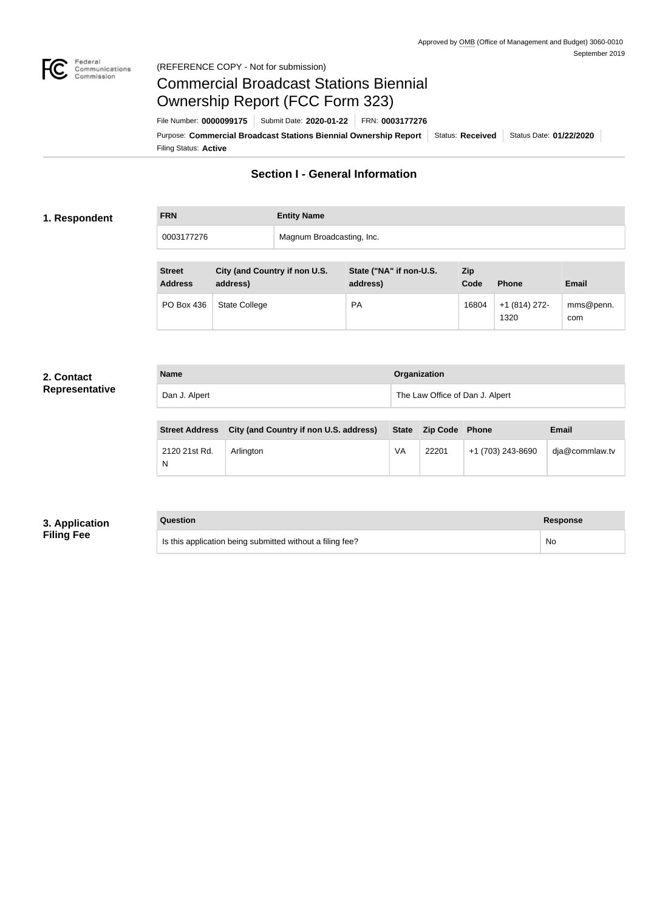

# Commercial Broadcast Stations Biennial Ownership Report (FCC Form 323)

Filing Status: **Active** Purpose: Commercial Broadcast Stations Biennial Ownership Report Status: Received Status Date: 01/22/2020 File Number: **0000099175** Submit Date: **2020-01-22** FRN: **0003177276**

## **Section I - General Information**

#### **1. Respondent**

| <b>FRN</b> | <b>Entity Name</b>        |
|------------|---------------------------|
| 0003177276 | Magnum Broadcasting, Inc. |

| <b>Street</b><br><b>Address</b> | City (and Country if non U.S.<br>address) | State ("NA" if non-U.S.<br>address) | Zip<br>Code | <b>Phone</b>          | Email            |
|---------------------------------|-------------------------------------------|-------------------------------------|-------------|-----------------------|------------------|
| PO Box 436                      | <b>State College</b>                      | <b>PA</b>                           | 16804       | +1 (814) 272-<br>1320 | mms@penn.<br>com |

#### **2. Contact Representative**

| <b>Name</b>   | Organization                    |
|---------------|---------------------------------|
| Dan J. Alpert | The Law Office of Dan J. Alpert |
|               |                                 |

| <b>Street Address</b> | City (and Country if non U.S. address) | <b>State</b> | <b>Zip Code</b> | Phone             | <b>Email</b>   |
|-----------------------|----------------------------------------|--------------|-----------------|-------------------|----------------|
| 2120 21st Rd.<br>N    | Arlington                              | VA           | 22201           | +1 (703) 243-8690 | dja@commlaw.tv |

## **3. Application Filing Fee**

#### **Question Response**

| Is this application being submitted without a filing fee? | <b>No</b> |  |
|-----------------------------------------------------------|-----------|--|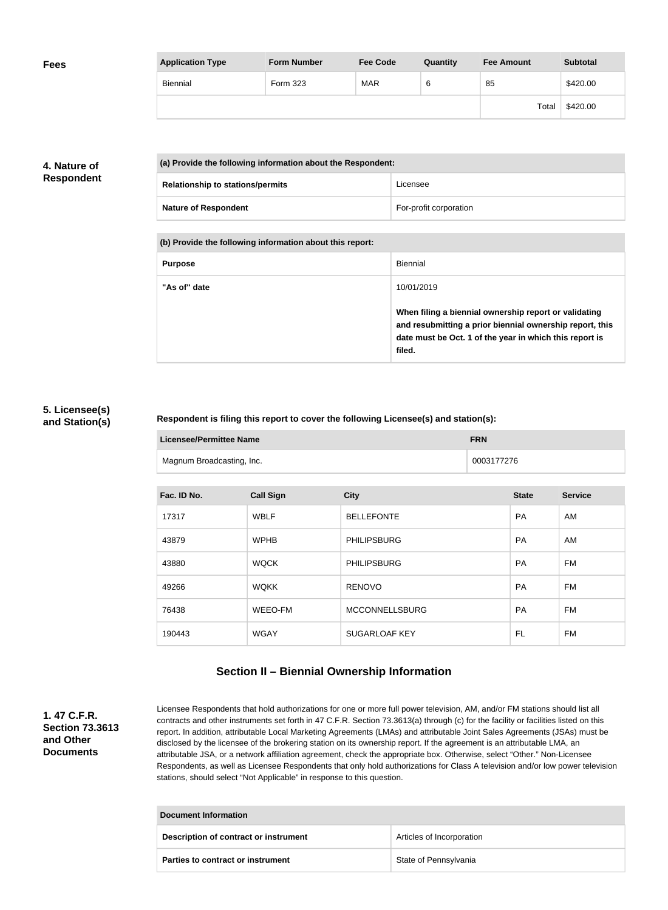| <b>Fees</b> | <b>Application Type</b> | <b>Form Number</b> | <b>Fee Code</b> | Quantity | <b>Fee Amount</b> | <b>Subtotal</b> |
|-------------|-------------------------|--------------------|-----------------|----------|-------------------|-----------------|
|             | Biennial                | Form 323           | <b>MAR</b>      | 6        | 85                | \$420.00        |
|             |                         |                    |                 |          | Total             | \$420.00        |

## **4. Nature of Respondent**

| (a) Provide the following information about the Respondent: |                                         |                        |
|-------------------------------------------------------------|-----------------------------------------|------------------------|
|                                                             | <b>Relationship to stations/permits</b> | Licensee               |
|                                                             | <b>Nature of Respondent</b>             | For-profit corporation |

**(b) Provide the following information about this report:**

| <b>Purpose</b> | Biennial                                                                                                                                                                               |
|----------------|----------------------------------------------------------------------------------------------------------------------------------------------------------------------------------------|
| "As of" date   | 10/01/2019                                                                                                                                                                             |
|                | When filing a biennial ownership report or validating<br>and resubmitting a prior biennial ownership report, this<br>date must be Oct. 1 of the year in which this report is<br>filed. |

### **5. Licensee(s) and Station(s)**

#### **Respondent is filing this report to cover the following Licensee(s) and station(s):**

| Licensee/Permittee Name   | <b>FRN</b> |
|---------------------------|------------|
| Magnum Broadcasting, Inc. | 0003177276 |

| Fac. ID No. | <b>Call Sign</b> | <b>City</b>           | <b>State</b> | <b>Service</b> |
|-------------|------------------|-----------------------|--------------|----------------|
| 17317       | <b>WBLF</b>      | <b>BELLEFONTE</b>     | <b>PA</b>    | AM             |
| 43879       | <b>WPHB</b>      | <b>PHILIPSBURG</b>    | <b>PA</b>    | AM             |
| 43880       | <b>WQCK</b>      | <b>PHILIPSBURG</b>    | <b>PA</b>    | FM             |
| 49266       | <b>WQKK</b>      | <b>RENOVO</b>         | <b>PA</b>    | FM             |
| 76438       | WEEO-FM          | <b>MCCONNELLSBURG</b> | <b>PA</b>    | FM             |
| 190443      | <b>WGAY</b>      | <b>SUGARLOAF KEY</b>  | FL           | FM             |

## **Section II – Biennial Ownership Information**

**1. 47 C.F.R. Section 73.3613 and Other Documents**

Licensee Respondents that hold authorizations for one or more full power television, AM, and/or FM stations should list all contracts and other instruments set forth in 47 C.F.R. Section 73.3613(a) through (c) for the facility or facilities listed on this report. In addition, attributable Local Marketing Agreements (LMAs) and attributable Joint Sales Agreements (JSAs) must be disclosed by the licensee of the brokering station on its ownership report. If the agreement is an attributable LMA, an attributable JSA, or a network affiliation agreement, check the appropriate box. Otherwise, select "Other." Non-Licensee Respondents, as well as Licensee Respondents that only hold authorizations for Class A television and/or low power television stations, should select "Not Applicable" in response to this question.

| Document Information                  |                           |  |
|---------------------------------------|---------------------------|--|
| Description of contract or instrument | Articles of Incorporation |  |
| Parties to contract or instrument     | State of Pennsylvania     |  |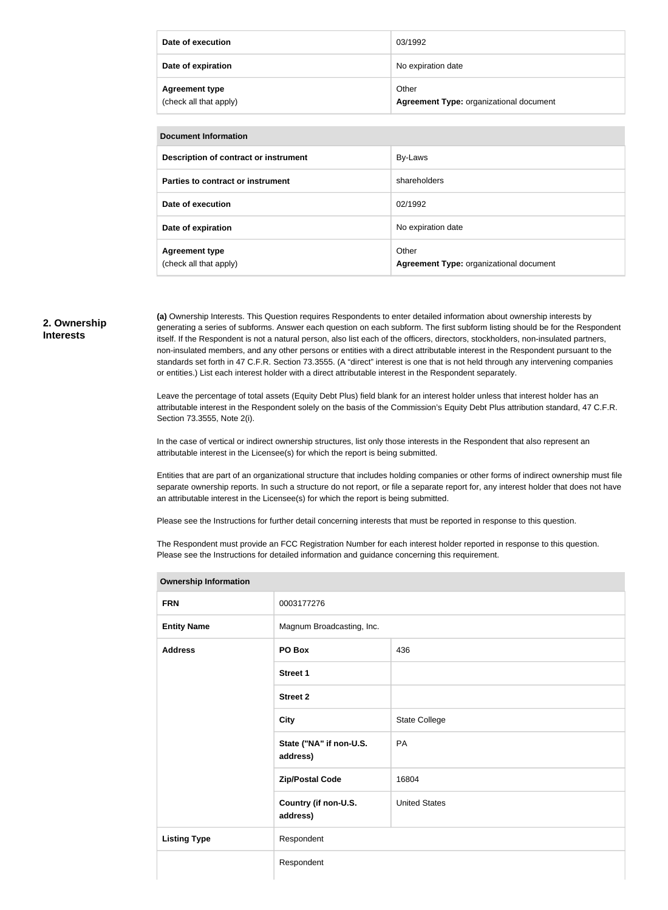| Date of execution                               | 03/1992                                          |
|-------------------------------------------------|--------------------------------------------------|
| Date of expiration                              | No expiration date                               |
| <b>Agreement type</b><br>(check all that apply) | Other<br>Agreement Type: organizational document |

| <b>Document Information</b>                     |                                                  |  |
|-------------------------------------------------|--------------------------------------------------|--|
| Description of contract or instrument           | By-Laws                                          |  |
| Parties to contract or instrument               | shareholders                                     |  |
| Date of execution                               | 02/1992                                          |  |
| Date of expiration                              | No expiration date                               |  |
| <b>Agreement type</b><br>(check all that apply) | Other<br>Agreement Type: organizational document |  |

#### **2. Ownership Interests**

**(a)** Ownership Interests. This Question requires Respondents to enter detailed information about ownership interests by generating a series of subforms. Answer each question on each subform. The first subform listing should be for the Respondent itself. If the Respondent is not a natural person, also list each of the officers, directors, stockholders, non-insulated partners, non-insulated members, and any other persons or entities with a direct attributable interest in the Respondent pursuant to the standards set forth in 47 C.F.R. Section 73.3555. (A "direct" interest is one that is not held through any intervening companies or entities.) List each interest holder with a direct attributable interest in the Respondent separately.

Leave the percentage of total assets (Equity Debt Plus) field blank for an interest holder unless that interest holder has an attributable interest in the Respondent solely on the basis of the Commission's Equity Debt Plus attribution standard, 47 C.F.R. Section 73.3555, Note 2(i).

In the case of vertical or indirect ownership structures, list only those interests in the Respondent that also represent an attributable interest in the Licensee(s) for which the report is being submitted.

Entities that are part of an organizational structure that includes holding companies or other forms of indirect ownership must file separate ownership reports. In such a structure do not report, or file a separate report for, any interest holder that does not have an attributable interest in the Licensee(s) for which the report is being submitted.

Please see the Instructions for further detail concerning interests that must be reported in response to this question.

**Ownership Information**

The Respondent must provide an FCC Registration Number for each interest holder reported in response to this question. Please see the Instructions for detailed information and guidance concerning this requirement.

| Ownership information |                                     |                      |
|-----------------------|-------------------------------------|----------------------|
| <b>FRN</b>            | 0003177276                          |                      |
| <b>Entity Name</b>    | Magnum Broadcasting, Inc.           |                      |
| <b>Address</b>        | PO Box                              | 436                  |
|                       | <b>Street 1</b>                     |                      |
|                       | <b>Street 2</b>                     |                      |
|                       | <b>City</b>                         | State College        |
|                       | State ("NA" if non-U.S.<br>address) | PA                   |
|                       | <b>Zip/Postal Code</b>              | 16804                |
|                       | Country (if non-U.S.<br>address)    | <b>United States</b> |
| <b>Listing Type</b>   | Respondent                          |                      |
|                       | Respondent                          |                      |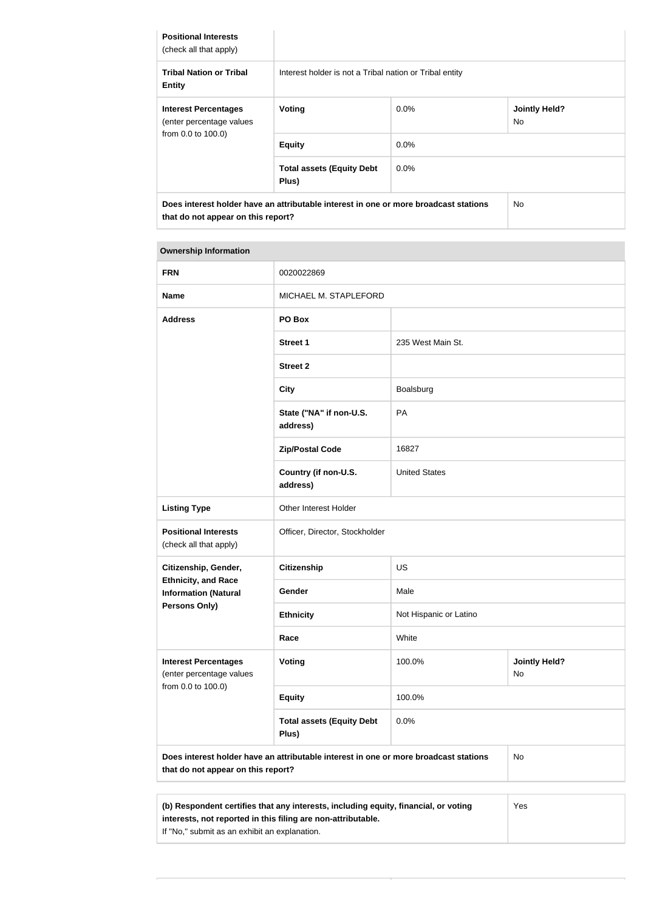| <b>Positional Interests</b><br>(check all that apply)   |                                                                                      |         |                                   |
|---------------------------------------------------------|--------------------------------------------------------------------------------------|---------|-----------------------------------|
| <b>Tribal Nation or Tribal</b><br><b>Entity</b>         | Interest holder is not a Tribal nation or Tribal entity                              |         |                                   |
| <b>Interest Percentages</b><br>(enter percentage values | Voting                                                                               | $0.0\%$ | <b>Jointly Held?</b><br><b>No</b> |
| from 0.0 to 100.0)                                      | <b>Equity</b>                                                                        | $0.0\%$ |                                   |
|                                                         | <b>Total assets (Equity Debt</b><br>Plus)                                            | $0.0\%$ |                                   |
| that do not appear on this report?                      | Does interest holder have an attributable interest in one or more broadcast stations |         | <b>No</b>                         |

## **Ownership Information FRN** 0020022869 **Name** MICHAEL M. STAPLEFORD **Address PO Box Street 1** 235 West Main St. **Street 2 City** Boalsburg **State ("NA" if non-U.S. address)** PA **Zip/Postal Code** 16827 **Country (if non-U.S. address)** United States Listing Type **Conservant Conservant Conservant Conservant Conservant Conservant Conservant Conservant Conservant Positional Interests** (check all that apply) Officer, Director, Stockholder **Citizenship, Gender, Ethnicity, and Race Information (Natural Persons Only) Citizenship** US Gender Male **Ethnicity** Not Hispanic or Latino **Race** White **Interest Percentages** (enter percentage values from 0.0 to 100.0) **Voting** 100.0% **Jointly Held?** No **Equity** 100.0% **Total assets (Equity Debt Plus)** 0.0% **Does interest holder have an attributable interest in one or more broadcast stations**  No

| (b) Respondent certifies that any interests, including equity, financial, or voting | Yes |
|-------------------------------------------------------------------------------------|-----|
| interests, not reported in this filing are non-attributable.                        |     |
| If "No," submit as an exhibit an explanation.                                       |     |

**that do not appear on this report?**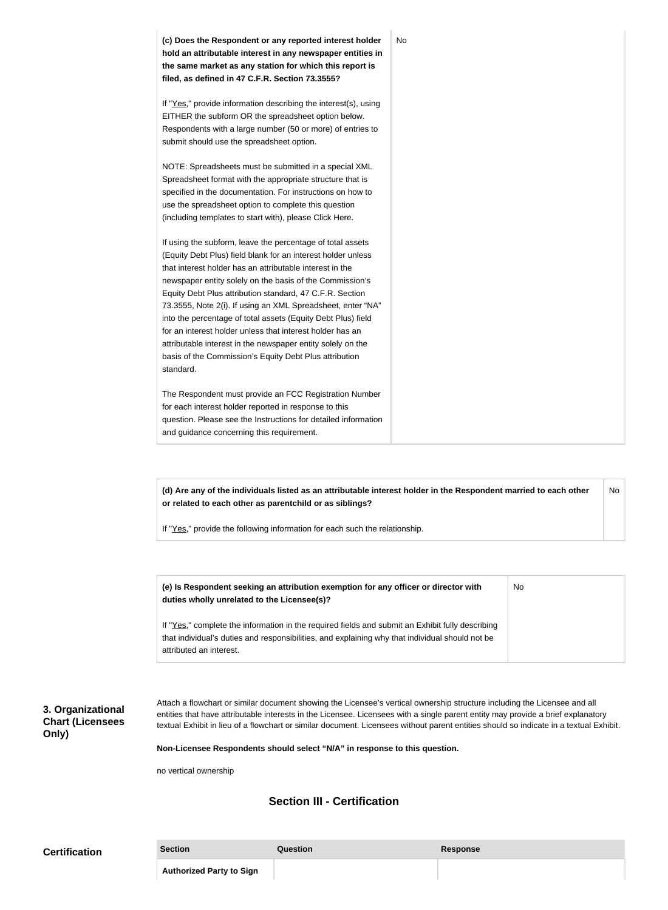**(c) Does the Respondent or any reported interest holder hold an attributable interest in any newspaper entities in the same market as any station for which this report is filed, as defined in 47 C.F.R. Section 73.3555?** If "Yes," provide information describing the interest(s), using EITHER the subform OR the spreadsheet option below. Respondents with a large number (50 or more) of entries to submit should use the spreadsheet option. NOTE: Spreadsheets must be submitted in a special XML Spreadsheet format with the appropriate structure that is specified in the documentation. For instructions on how to use the spreadsheet option to complete this question (including templates to start with), please Click Here. If using the subform, leave the percentage of total assets (Equity Debt Plus) field blank for an interest holder unless that interest holder has an attributable interest in the newspaper entity solely on the basis of the Commission's Equity Debt Plus attribution standard, 47 C.F.R. Section 73.3555, Note 2(i). If using an XML Spreadsheet, enter "NA" into the percentage of total assets (Equity Debt Plus) field for an interest holder unless that interest holder has an attributable interest in the newspaper entity solely on the basis of the Commission's Equity Debt Plus attribution standard. The Respondent must provide an FCC Registration Number for each interest holder reported in response to this question. Please see the Instructions for detailed information and guidance concerning this requirement. No

**(d) Are any of the individuals listed as an attributable interest holder in the Respondent married to each other or related to each other as parentchild or as siblings?** No

If "Yes," provide the following information for each such the relationship.

| (e) Is Respondent seeking an attribution exemption for any officer or director with<br>duties wholly unrelated to the Licensee(s)?                                                                                             | <b>No</b> |
|--------------------------------------------------------------------------------------------------------------------------------------------------------------------------------------------------------------------------------|-----------|
| If "Yes," complete the information in the required fields and submit an Exhibit fully describing<br>that individual's duties and responsibilities, and explaining why that individual should not be<br>attributed an interest. |           |

**3. Organizational Chart (Licensees Only)**

Attach a flowchart or similar document showing the Licensee's vertical ownership structure including the Licensee and all entities that have attributable interests in the Licensee. Licensees with a single parent entity may provide a brief explanatory textual Exhibit in lieu of a flowchart or similar document. Licensees without parent entities should so indicate in a textual Exhibit.

**Non-Licensee Respondents should select "N/A" in response to this question.**

no vertical ownership

## **Section III - Certification**

| <b>Certification</b> | <b>Section</b>                  | Question | <b>Response</b> |
|----------------------|---------------------------------|----------|-----------------|
|                      | <b>Authorized Party to Sign</b> |          |                 |